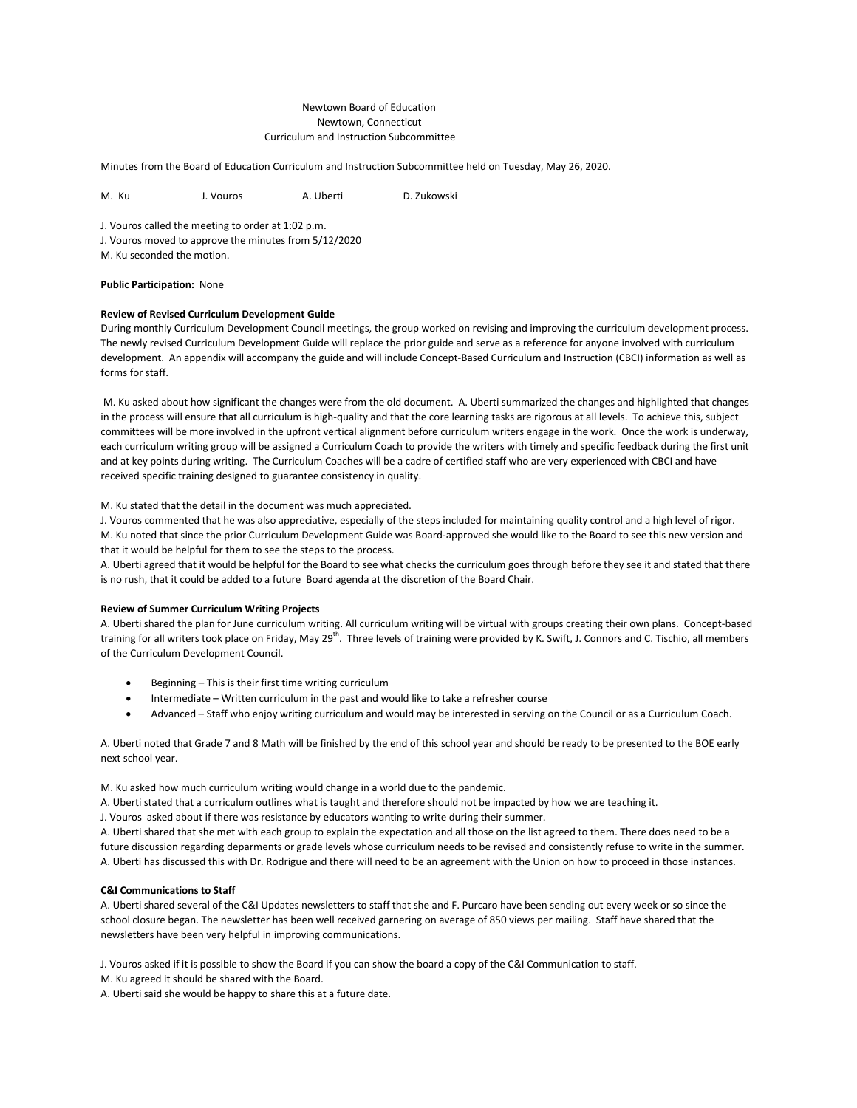# Newtown Board of Education Newtown, Connecticut Curriculum and Instruction Subcommittee

Minutes from the Board of Education Curriculum and Instruction Subcommittee held on Tuesday, May 26, 2020.

M. Ku J. Vouros A. Uberti D. Zukowski

J. Vouros called the meeting to order at 1:02 p.m. J. Vouros moved to approve the minutes from 5/12/2020

M. Ku seconded the motion.

# **Public Participation:** None

# **Review of Revised Curriculum Development Guide**

During monthly Curriculum Development Council meetings, the group worked on revising and improving the curriculum development process. The newly revised Curriculum Development Guide will replace the prior guide and serve as a reference for anyone involved with curriculum development. An appendix will accompany the guide and will include Concept-Based Curriculum and Instruction (CBCI) information as well as forms for staff.

M. Ku asked about how significant the changes were from the old document. A. Uberti summarized the changes and highlighted that changes in the process will ensure that all curriculum is high-quality and that the core learning tasks are rigorous at all levels. To achieve this, subject committees will be more involved in the upfront vertical alignment before curriculum writers engage in the work. Once the work is underway, each curriculum writing group will be assigned a Curriculum Coach to provide the writers with timely and specific feedback during the first unit and at key points during writing. The Curriculum Coaches will be a cadre of certified staff who are very experienced with CBCI and have received specific training designed to guarantee consistency in quality.

# M. Ku stated that the detail in the document was much appreciated.

J. Vouros commented that he was also appreciative, especially of the steps included for maintaining quality control and a high level of rigor. M. Ku noted that since the prior Curriculum Development Guide was Board-approved she would like to the Board to see this new version and that it would be helpful for them to see the steps to the process.

A. Uberti agreed that it would be helpful for the Board to see what checks the curriculum goes through before they see it and stated that there is no rush, that it could be added to a future Board agenda at the discretion of the Board Chair.

#### **Review of Summer Curriculum Writing Projects**

A. Uberti shared the plan for June curriculum writing. All curriculum writing will be virtual with groups creating their own plans. Concept-based training for all writers took place on Friday, May 29<sup>th</sup>. Three levels of training were provided by K. Swift, J. Connors and C. Tischio, all members of the Curriculum Development Council.

- Beginning This is their first time writing curriculum
- Intermediate Written curriculum in the past and would like to take a refresher course
- Advanced Staff who enjoy writing curriculum and would may be interested in serving on the Council or as a Curriculum Coach.

A. Uberti noted that Grade 7 and 8 Math will be finished by the end of this school year and should be ready to be presented to the BOE early next school year.

M. Ku asked how much curriculum writing would change in a world due to the pandemic.

A. Uberti stated that a curriculum outlines what is taught and therefore should not be impacted by how we are teaching it.

J. Vouros asked about if there was resistance by educators wanting to write during their summer.

A. Uberti shared that she met with each group to explain the expectation and all those on the list agreed to them. There does need to be a future discussion regarding deparments or grade levels whose curriculum needs to be revised and consistently refuse to write in the summer. A. Uberti has discussed this with Dr. Rodrigue and there will need to be an agreement with the Union on how to proceed in those instances.

# **C&I Communications to Staff**

A. Uberti shared several of the C&I Updates newsletters to staff that she and F. Purcaro have been sending out every week or so since the school closure began. The newsletter has been well received garnering on average of 850 views per mailing. Staff have shared that the newsletters have been very helpful in improving communications.

J. Vouros asked if it is possible to show the Board if you can show the board a copy of the C&I Communication to staff.

M. Ku agreed it should be shared with the Board.

A. Uberti said she would be happy to share this at a future date.